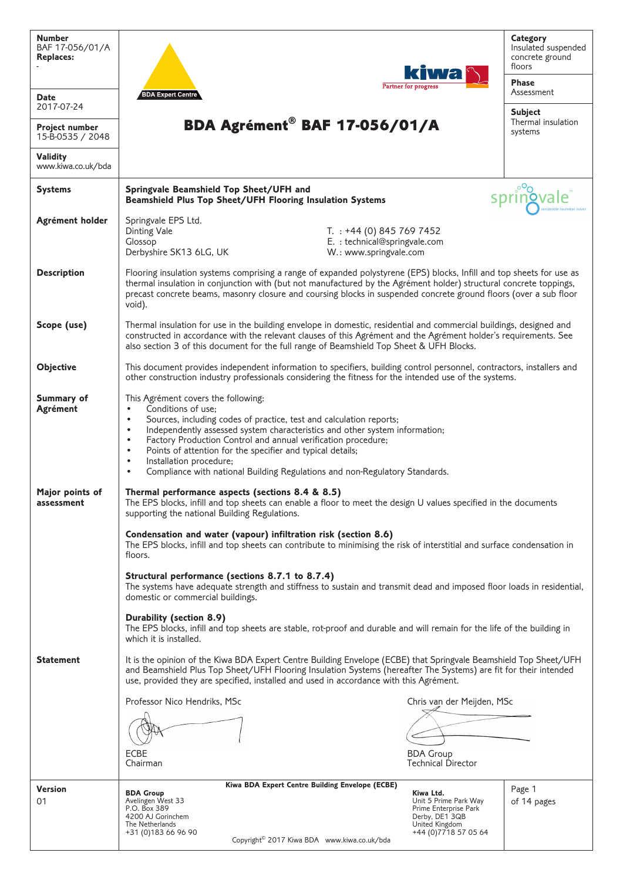| <b>Number</b><br>BAF 17-056/01/A<br><b>Replaces:</b> | kiwa                                                                                                                                                                                                                                                                                                                                                                                                                                                                                                                                                | <b>Category</b><br>Insulated suspended<br>concrete ground<br>floors |  |  |  |  |
|------------------------------------------------------|-----------------------------------------------------------------------------------------------------------------------------------------------------------------------------------------------------------------------------------------------------------------------------------------------------------------------------------------------------------------------------------------------------------------------------------------------------------------------------------------------------------------------------------------------------|---------------------------------------------------------------------|--|--|--|--|
| <b>Date</b>                                          | Partner for progress<br><b>BDA Expert Centre</b>                                                                                                                                                                                                                                                                                                                                                                                                                                                                                                    | <b>Phase</b><br>Assessment                                          |  |  |  |  |
| 2017-07-24<br>Project number                         | BDA Agrément <sup>®</sup> BAF 17-056/01/A                                                                                                                                                                                                                                                                                                                                                                                                                                                                                                           | <b>Subject</b><br>Thermal insulation<br>systems                     |  |  |  |  |
| 15-B-0535 / 2048<br><b>Validity</b>                  |                                                                                                                                                                                                                                                                                                                                                                                                                                                                                                                                                     |                                                                     |  |  |  |  |
| www.kiwa.co.uk/bda                                   |                                                                                                                                                                                                                                                                                                                                                                                                                                                                                                                                                     |                                                                     |  |  |  |  |
| <b>Systems</b>                                       | Springvale Beamshield Top Sheet/UFH and<br>Beamshield Plus Top Sheet/UFH Flooring Insulation Systems                                                                                                                                                                                                                                                                                                                                                                                                                                                |                                                                     |  |  |  |  |
| Agrément holder                                      | Springvale EPS Ltd.<br>T. $: +44$ (0) 845 769 7452<br>Dinting Vale<br>E. : technical@springvale.com<br>Glossop<br>Derbyshire SK13 6LG, UK<br>W.: www.springvale.com                                                                                                                                                                                                                                                                                                                                                                                 |                                                                     |  |  |  |  |
| <b>Description</b>                                   | Flooring insulation systems comprising a range of expanded polystyrene (EPS) blocks, Infill and top sheets for use as<br>thermal insulation in conjunction with (but not manufactured by the Agrément holder) structural concrete toppings,<br>precast concrete beams, masonry closure and coursing blocks in suspended concrete ground floors (over a sub floor<br>void).                                                                                                                                                                          |                                                                     |  |  |  |  |
| Scope (use)                                          | Thermal insulation for use in the building envelope in domestic, residential and commercial buildings, designed and<br>constructed in accordance with the relevant clauses of this Agrément and the Agrément holder's requirements. See<br>also section 3 of this document for the full range of Beamshield Top Sheet & UFH Blocks.                                                                                                                                                                                                                 |                                                                     |  |  |  |  |
| <b>Objective</b>                                     | This document provides independent information to specifiers, building control personnel, contractors, installers and<br>other construction industry professionals considering the fitness for the intended use of the systems.                                                                                                                                                                                                                                                                                                                     |                                                                     |  |  |  |  |
| <b>Summary of</b><br><b>Agrément</b>                 | This Agrément covers the following:<br>Conditions of use;<br>$\bullet$<br>Sources, including codes of practice, test and calculation reports;<br>$\bullet$<br>Independently assessed system characteristics and other system information;<br>$\bullet$<br>Factory Production Control and annual verification procedure;<br>$\bullet$<br>Points of attention for the specifier and typical details;<br>$\bullet$<br>Installation procedure;<br>$\bullet$<br>Compliance with national Building Regulations and non-Regulatory Standards.<br>$\bullet$ |                                                                     |  |  |  |  |
| Major points of<br>assessment                        | Thermal performance aspects (sections 8.4 & 8.5)<br>The EPS blocks, infill and top sheets can enable a floor to meet the design U values specified in the documents<br>supporting the national Building Regulations.                                                                                                                                                                                                                                                                                                                                |                                                                     |  |  |  |  |
|                                                      | Condensation and water (vapour) infiltration risk (section 8.6)<br>The EPS blocks, infill and top sheets can contribute to minimising the risk of interstitial and surface condensation in<br>floors.                                                                                                                                                                                                                                                                                                                                               |                                                                     |  |  |  |  |
|                                                      | Structural performance (sections 8.7.1 to 8.7.4)<br>The systems have adequate strength and stiffness to sustain and transmit dead and imposed floor loads in residential,<br>domestic or commercial buildings.                                                                                                                                                                                                                                                                                                                                      |                                                                     |  |  |  |  |
|                                                      | Durability (section 8.9)<br>The EPS blocks, infill and top sheets are stable, rot-proof and durable and will remain for the life of the building in<br>which it is installed.                                                                                                                                                                                                                                                                                                                                                                       |                                                                     |  |  |  |  |
| <b>Statement</b>                                     | It is the opinion of the Kiwa BDA Expert Centre Building Envelope (ECBE) that Springvale Beamshield Top Sheet/UFH<br>and Beamshield Plus Top Sheet/UFH Flooring Insulation Systems (hereafter The Systems) are fit for their intended<br>use, provided they are specified, installed and used in accordance with this Agrément.                                                                                                                                                                                                                     |                                                                     |  |  |  |  |
|                                                      | Professor Nico Hendriks, MSc<br>Chris van der Meijden, MSc                                                                                                                                                                                                                                                                                                                                                                                                                                                                                          |                                                                     |  |  |  |  |
|                                                      |                                                                                                                                                                                                                                                                                                                                                                                                                                                                                                                                                     |                                                                     |  |  |  |  |
|                                                      | <b>BDA Group</b><br>ECBE<br><b>Technical Director</b><br>Chairman                                                                                                                                                                                                                                                                                                                                                                                                                                                                                   |                                                                     |  |  |  |  |
|                                                      |                                                                                                                                                                                                                                                                                                                                                                                                                                                                                                                                                     |                                                                     |  |  |  |  |
| <b>Version</b>                                       | Kiwa BDA Expert Centre Building Envelope (ECBE)<br>Kiwa Ltd.<br><b>BDA Group</b>                                                                                                                                                                                                                                                                                                                                                                                                                                                                    | Page 1                                                              |  |  |  |  |
| 01                                                   | Avelingen West 33<br>Unit 5 Prime Park Way<br>P.O. Box 389<br>Prime Enterprise Park                                                                                                                                                                                                                                                                                                                                                                                                                                                                 | of 14 pages                                                         |  |  |  |  |
|                                                      | 4200 AJ Gorinchem<br>Derby, DE1 3QB                                                                                                                                                                                                                                                                                                                                                                                                                                                                                                                 |                                                                     |  |  |  |  |
|                                                      | United Kingdom<br>The Netherlands<br>+44 (0) 7718 57 05 64<br>+31 (0) 183 66 96 90                                                                                                                                                                                                                                                                                                                                                                                                                                                                  |                                                                     |  |  |  |  |
|                                                      | Convright <sup>©</sup> 2017 Kiwa BDA www.kiwa.co.uk/hda                                                                                                                                                                                                                                                                                                                                                                                                                                                                                             |                                                                     |  |  |  |  |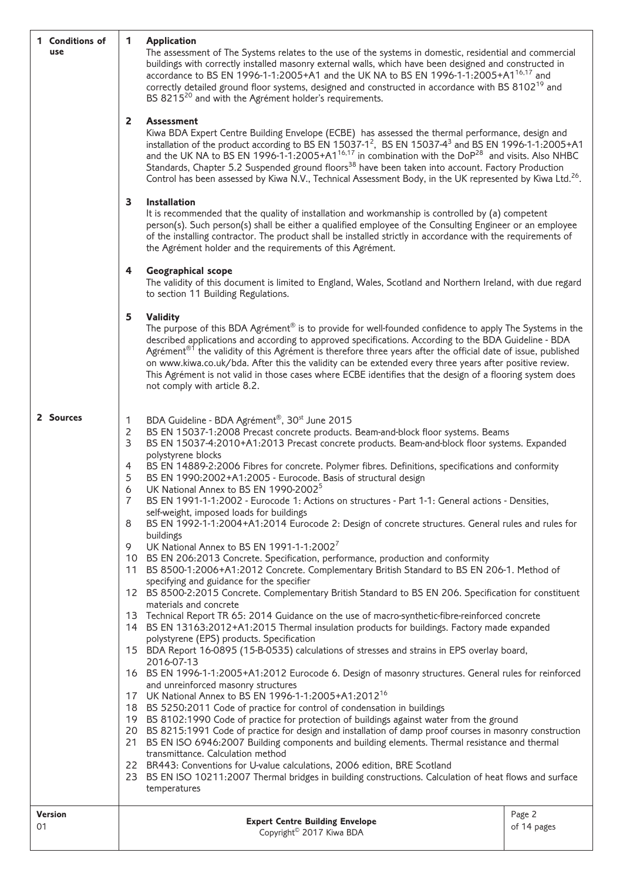| 1 Conditions of<br>use                                                                                                                                                                                                                                                                       | 1<br><b>Application</b><br>The assessment of The Systems relates to the use of the systems in domestic, residential and commercial<br>buildings with correctly installed masonry external walls, which have been designed and constructed in<br>accordance to BS EN 1996-1-1:2005+A1 and the UK NA to BS EN 1996-1-1:2005+A1 <sup>16,17</sup> and<br>correctly detailed ground floor systems, designed and constructed in accordance with BS 8102 <sup>19</sup> and<br>BS 8215 <sup>20</sup> and with the Agrément holder's requirements.<br>$\mathbf{2}$<br><b>Assessment</b><br>Kiwa BDA Expert Centre Building Envelope (ECBE) has assessed the thermal performance, design and<br>installation of the product according to BS EN 15037-1 <sup>2</sup> , BS EN 15037-4 <sup>3</sup> and BS EN 1996-1-1:2005+A1<br>and the UK NA to BS EN 1996-1-1:2005+A1 <sup>16,17</sup> in combination with the DoP <sup>28</sup> and visits. Also NHBC<br>Standards, Chapter 5.2 Suspended ground floors <sup>38</sup> have been taken into account. Factory Production<br>Control has been assessed by Kiwa N.V., Technical Assessment Body, in the UK represented by Kiwa Ltd. <sup>26</sup> .<br>Installation<br>3<br>It is recommended that the quality of installation and workmanship is controlled by (a) competent |                                                                                                                                                                                                                                                                                                                                                                                                                                                                                                                                                                                                                                      |                       |
|----------------------------------------------------------------------------------------------------------------------------------------------------------------------------------------------------------------------------------------------------------------------------------------------|-------------------------------------------------------------------------------------------------------------------------------------------------------------------------------------------------------------------------------------------------------------------------------------------------------------------------------------------------------------------------------------------------------------------------------------------------------------------------------------------------------------------------------------------------------------------------------------------------------------------------------------------------------------------------------------------------------------------------------------------------------------------------------------------------------------------------------------------------------------------------------------------------------------------------------------------------------------------------------------------------------------------------------------------------------------------------------------------------------------------------------------------------------------------------------------------------------------------------------------------------------------------------------------------------------------------|--------------------------------------------------------------------------------------------------------------------------------------------------------------------------------------------------------------------------------------------------------------------------------------------------------------------------------------------------------------------------------------------------------------------------------------------------------------------------------------------------------------------------------------------------------------------------------------------------------------------------------------|-----------------------|
|                                                                                                                                                                                                                                                                                              | person(s). Such person(s) shall be either a qualified employee of the Consulting Engineer or an employee<br>of the installing contractor. The product shall be installed strictly in accordance with the requirements of<br>the Agrément holder and the requirements of this Agrément.<br>4                                                                                                                                                                                                                                                                                                                                                                                                                                                                                                                                                                                                                                                                                                                                                                                                                                                                                                                                                                                                                       |                                                                                                                                                                                                                                                                                                                                                                                                                                                                                                                                                                                                                                      |                       |
|                                                                                                                                                                                                                                                                                              | <b>Geographical scope</b><br>The validity of this document is limited to England, Wales, Scotland and Northern Ireland, with due regard<br>to section 11 Building Regulations.                                                                                                                                                                                                                                                                                                                                                                                                                                                                                                                                                                                                                                                                                                                                                                                                                                                                                                                                                                                                                                                                                                                                    |                                                                                                                                                                                                                                                                                                                                                                                                                                                                                                                                                                                                                                      |                       |
|                                                                                                                                                                                                                                                                                              | 5                                                                                                                                                                                                                                                                                                                                                                                                                                                                                                                                                                                                                                                                                                                                                                                                                                                                                                                                                                                                                                                                                                                                                                                                                                                                                                                 | <b>Validity</b><br>The purpose of this BDA Agrément <sup>®</sup> is to provide for well-founded confidence to apply The Systems in the<br>described applications and according to approved specifications. According to the BDA Guideline - BDA<br>Agrément <sup>®1</sup> the validity of this Agrément is therefore three years after the official date of issue, published<br>on www.kiwa.co.uk/bda. After this the validity can be extended every three years after positive review.<br>This Agrément is not valid in those cases where ECBE identifies that the design of a flooring system does<br>not comply with article 8.2. |                       |
| 2 Sources                                                                                                                                                                                                                                                                                    | BDA Guideline - BDA Agrément®, 30 <sup>st</sup> June 2015<br>1<br>2<br>BS EN 15037-1:2008 Precast concrete products. Beam-and-block floor systems. Beams<br>3<br>BS EN 15037-4:2010+A1:2013 Precast concrete products. Beam-and-block floor systems. Expanded                                                                                                                                                                                                                                                                                                                                                                                                                                                                                                                                                                                                                                                                                                                                                                                                                                                                                                                                                                                                                                                     |                                                                                                                                                                                                                                                                                                                                                                                                                                                                                                                                                                                                                                      |                       |
|                                                                                                                                                                                                                                                                                              | polystyrene blocks<br>BS EN 14889-2:2006 Fibres for concrete. Polymer fibres. Definitions, specifications and conformity<br>4<br>5<br>BS EN 1990:2002+A1:2005 - Eurocode. Basis of structural design<br>6<br>UK National Annex to BS EN 1990-2002 <sup>5</sup><br>7                                                                                                                                                                                                                                                                                                                                                                                                                                                                                                                                                                                                                                                                                                                                                                                                                                                                                                                                                                                                                                               |                                                                                                                                                                                                                                                                                                                                                                                                                                                                                                                                                                                                                                      |                       |
|                                                                                                                                                                                                                                                                                              | BS EN 1991-1-1:2002 - Eurocode 1: Actions on structures - Part 1-1: General actions - Densities,<br>self-weight, imposed loads for buildings<br>BS EN 1992-1-1:2004+A1:2014 Eurocode 2: Design of concrete structures. General rules and rules for<br>8<br>buildings                                                                                                                                                                                                                                                                                                                                                                                                                                                                                                                                                                                                                                                                                                                                                                                                                                                                                                                                                                                                                                              |                                                                                                                                                                                                                                                                                                                                                                                                                                                                                                                                                                                                                                      |                       |
| UK National Annex to BS EN 1991-1-1:2002 <sup>7</sup><br>9<br>10 BS EN 206:2013 Concrete. Specification, performance, production and conformity<br>11 BS 8500-1:2006+A1:2012 Concrete. Complementary British Standard to BS EN 206-1. Method of<br>specifying and guidance for the specifier |                                                                                                                                                                                                                                                                                                                                                                                                                                                                                                                                                                                                                                                                                                                                                                                                                                                                                                                                                                                                                                                                                                                                                                                                                                                                                                                   |                                                                                                                                                                                                                                                                                                                                                                                                                                                                                                                                                                                                                                      |                       |
|                                                                                                                                                                                                                                                                                              |                                                                                                                                                                                                                                                                                                                                                                                                                                                                                                                                                                                                                                                                                                                                                                                                                                                                                                                                                                                                                                                                                                                                                                                                                                                                                                                   | 12 BS 8500-2:2015 Concrete. Complementary British Standard to BS EN 206. Specification for constituent<br>materials and concrete                                                                                                                                                                                                                                                                                                                                                                                                                                                                                                     |                       |
|                                                                                                                                                                                                                                                                                              |                                                                                                                                                                                                                                                                                                                                                                                                                                                                                                                                                                                                                                                                                                                                                                                                                                                                                                                                                                                                                                                                                                                                                                                                                                                                                                                   | 13 Technical Report TR 65: 2014 Guidance on the use of macro-synthetic-fibre-reinforced concrete<br>14 BS EN 13163:2012+A1:2015 Thermal insulation products for buildings. Factory made expanded<br>polystyrene (EPS) products. Specification                                                                                                                                                                                                                                                                                                                                                                                        |                       |
|                                                                                                                                                                                                                                                                                              | 15                                                                                                                                                                                                                                                                                                                                                                                                                                                                                                                                                                                                                                                                                                                                                                                                                                                                                                                                                                                                                                                                                                                                                                                                                                                                                                                | BDA Report 16-0895 (15-B-0535) calculations of stresses and strains in EPS overlay board,<br>2016-07-13                                                                                                                                                                                                                                                                                                                                                                                                                                                                                                                              |                       |
|                                                                                                                                                                                                                                                                                              |                                                                                                                                                                                                                                                                                                                                                                                                                                                                                                                                                                                                                                                                                                                                                                                                                                                                                                                                                                                                                                                                                                                                                                                                                                                                                                                   | 16 BS EN 1996-1-1:2005+A1:2012 Eurocode 6. Design of masonry structures. General rules for reinforced<br>and unreinforced masonry structures<br>17 UK National Annex to BS EN 1996-1-1:2005+A1:2012 <sup>16</sup>                                                                                                                                                                                                                                                                                                                                                                                                                    |                       |
|                                                                                                                                                                                                                                                                                              |                                                                                                                                                                                                                                                                                                                                                                                                                                                                                                                                                                                                                                                                                                                                                                                                                                                                                                                                                                                                                                                                                                                                                                                                                                                                                                                   | 18 BS 5250:2011 Code of practice for control of condensation in buildings                                                                                                                                                                                                                                                                                                                                                                                                                                                                                                                                                            |                       |
|                                                                                                                                                                                                                                                                                              |                                                                                                                                                                                                                                                                                                                                                                                                                                                                                                                                                                                                                                                                                                                                                                                                                                                                                                                                                                                                                                                                                                                                                                                                                                                                                                                   | 19 BS 8102:1990 Code of practice for protection of buildings against water from the ground<br>20 BS 8215:1991 Code of practice for design and installation of damp proof courses in masonry construction<br>21 BS EN ISO 6946:2007 Building components and building elements. Thermal resistance and thermal                                                                                                                                                                                                                                                                                                                         |                       |
|                                                                                                                                                                                                                                                                                              | transmittance. Calculation method<br>22 BR443: Conventions for U-value calculations, 2006 edition, BRE Scotland<br>23 BS EN ISO 10211:2007 Thermal bridges in building constructions. Calculation of heat flows and surface<br>temperatures                                                                                                                                                                                                                                                                                                                                                                                                                                                                                                                                                                                                                                                                                                                                                                                                                                                                                                                                                                                                                                                                       |                                                                                                                                                                                                                                                                                                                                                                                                                                                                                                                                                                                                                                      |                       |
| <b>Version</b><br>01                                                                                                                                                                                                                                                                         |                                                                                                                                                                                                                                                                                                                                                                                                                                                                                                                                                                                                                                                                                                                                                                                                                                                                                                                                                                                                                                                                                                                                                                                                                                                                                                                   | <b>Expert Centre Building Envelope</b><br>Copyright <sup>©</sup> 2017 Kiwa BDA                                                                                                                                                                                                                                                                                                                                                                                                                                                                                                                                                       | Page 2<br>of 14 pages |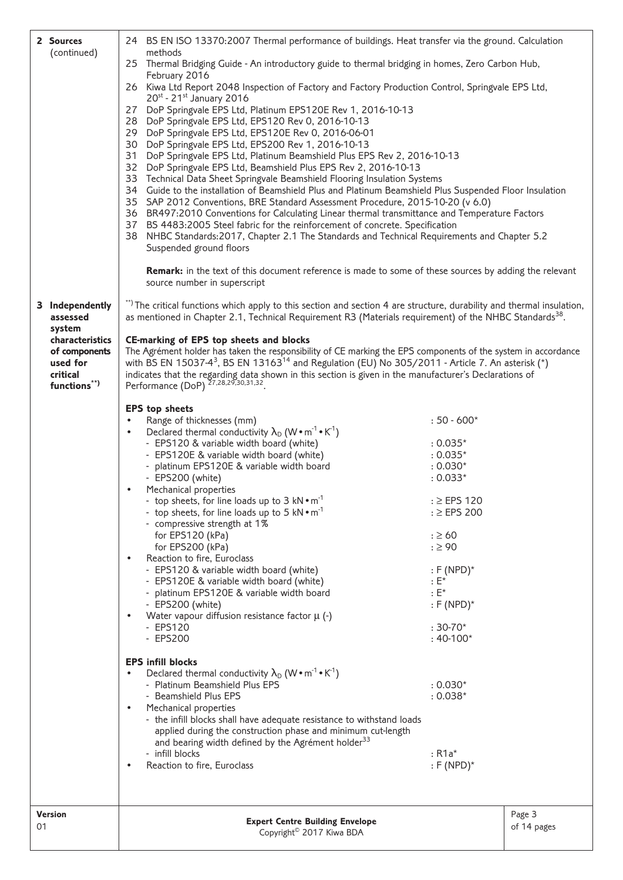| 2 Sources                   | 24 BS EN ISO 13370:2007 Thermal performance of buildings. Heat transfer via the ground. Calculation                                                                                                                                           |                                         |             |  |  |
|-----------------------------|-----------------------------------------------------------------------------------------------------------------------------------------------------------------------------------------------------------------------------------------------|-----------------------------------------|-------------|--|--|
| (continued)                 | methods<br>25 Thermal Bridging Guide - An introductory guide to thermal bridging in homes, Zero Carbon Hub,<br>February 2016                                                                                                                  |                                         |             |  |  |
|                             | 26 Kiwa Ltd Report 2048 Inspection of Factory and Factory Production Control, Springvale EPS Ltd,<br>$20^{st}$ - 21st January 2016                                                                                                            |                                         |             |  |  |
|                             | 27 DoP Springvale EPS Ltd, Platinum EPS120E Rev 1, 2016-10-13                                                                                                                                                                                 |                                         |             |  |  |
|                             | 28 DoP Springvale EPS Ltd, EPS120 Rev 0, 2016-10-13<br>29 DoP Springvale EPS Ltd, EPS120E Rev 0, 2016-06-01                                                                                                                                   |                                         |             |  |  |
|                             | 30 DoP Springvale EPS Ltd, EPS200 Rev 1, 2016-10-13                                                                                                                                                                                           |                                         |             |  |  |
|                             | 31 DoP Springvale EPS Ltd, Platinum Beamshield Plus EPS Rev 2, 2016-10-13<br>32 DoP Springvale EPS Ltd, Beamshield Plus EPS Rev 2, 2016-10-13                                                                                                 |                                         |             |  |  |
|                             | 33 Technical Data Sheet Springvale Beamshield Flooring Insulation Systems                                                                                                                                                                     |                                         |             |  |  |
|                             | 34 Guide to the installation of Beamshield Plus and Platinum Beamshield Plus Suspended Floor Insulation<br>35 SAP 2012 Conventions, BRE Standard Assessment Procedure, 2015-10-20 (v 6.0)                                                     |                                         |             |  |  |
|                             | 36 BR497:2010 Conventions for Calculating Linear thermal transmittance and Temperature Factors                                                                                                                                                |                                         |             |  |  |
|                             | 37 BS 4483:2005 Steel fabric for the reinforcement of concrete. Specification                                                                                                                                                                 |                                         |             |  |  |
|                             | 38 NHBC Standards: 2017, Chapter 2.1 The Standards and Technical Requirements and Chapter 5.2<br>Suspended ground floors                                                                                                                      |                                         |             |  |  |
|                             | Remark: in the text of this document reference is made to some of these sources by adding the relevant                                                                                                                                        |                                         |             |  |  |
|                             | source number in superscript                                                                                                                                                                                                                  |                                         |             |  |  |
| 3 Independently<br>assessed | **) The critical functions which apply to this section and section 4 are structure, durability and thermal insulation,<br>as mentioned in Chapter 2.1, Technical Requirement R3 (Materials requirement) of the NHBC Standards <sup>38</sup> . |                                         |             |  |  |
| system<br>characteristics   | <b>CE-marking of EPS top sheets and blocks</b>                                                                                                                                                                                                |                                         |             |  |  |
| of components               | The Agrément holder has taken the responsibility of CE marking the EPS components of the system in accordance                                                                                                                                 |                                         |             |  |  |
| used for<br>critical        | with BS EN 15037-4 <sup>3</sup> , BS EN 13163 <sup>14</sup> and Regulation (EU) No 305/2011 - Article 7. An asterisk (*)<br>indicates that the regarding data shown in this section is given in the manufacturer's Declarations of            |                                         |             |  |  |
| functions**)                | Performance (DoP) <sup>27,28,29,30,31,32</sup>                                                                                                                                                                                                |                                         |             |  |  |
|                             | <b>EPS</b> top sheets                                                                                                                                                                                                                         |                                         |             |  |  |
|                             | Range of thicknesses (mm)<br>$\bullet$                                                                                                                                                                                                        | $:50 - 600*$                            |             |  |  |
|                             | Declared thermal conductivity $\lambda_D$ (W • m <sup>-1</sup> • K <sup>-1</sup> )<br>$\bullet$<br>- EPS120 & variable width board (white)                                                                                                    | $: 0.035*$                              |             |  |  |
|                             | - EPS120E & variable width board (white)                                                                                                                                                                                                      | $: 0.035*$                              |             |  |  |
|                             | - platinum EPS120E & variable width board<br>- EPS200 (white)                                                                                                                                                                                 | $: 0.030*$<br>$: 0.033*$                |             |  |  |
|                             | Mechanical properties<br>$\bullet$                                                                                                                                                                                                            |                                         |             |  |  |
|                             | - top sheets, for line loads up to 3 $kN \cdot m^{-1}$                                                                                                                                                                                        | $: \ge$ EPS 120                         |             |  |  |
|                             | - top sheets, for line loads up to 5 kN • m <sup>-1</sup><br>- compressive strength at 1%                                                                                                                                                     | $: \ge$ EPS 200                         |             |  |  |
|                             | for EPS120 (kPa)                                                                                                                                                                                                                              | $: \geq 60$                             |             |  |  |
|                             | for EPS200 (kPa)                                                                                                                                                                                                                              | $: \geq 90$                             |             |  |  |
|                             | Reaction to fire, Euroclass<br>$\bullet$<br>- EPS120 & variable width board (white)                                                                                                                                                           | $:$ F (NPD) $*$                         |             |  |  |
|                             | - EPS120E & variable width board (white)                                                                                                                                                                                                      | $E^*$                                   |             |  |  |
|                             | - platinum EPS120E & variable width board<br>- EPS200 (white)                                                                                                                                                                                 | $: E^*$<br>$: F(NPD)^*$                 |             |  |  |
|                             | Water vapour diffusion resistance factor $\mu$ (-)<br>$\bullet$                                                                                                                                                                               |                                         |             |  |  |
|                             | - EPS120                                                                                                                                                                                                                                      | $:30-70*$                               |             |  |  |
|                             | - EPS200                                                                                                                                                                                                                                      | $:40-100*$                              |             |  |  |
|                             | <b>EPS infill blocks</b>                                                                                                                                                                                                                      |                                         |             |  |  |
|                             | Declared thermal conductivity $\lambda_D$ (W • m <sup>-1</sup> • K <sup>-1</sup> )<br>- Platinum Beamshield Plus EPS                                                                                                                          | $: 0.030*$                              |             |  |  |
|                             | - Beamshield Plus EPS                                                                                                                                                                                                                         | $: 0.038*$                              |             |  |  |
|                             | Mechanical properties<br>$\bullet$                                                                                                                                                                                                            |                                         |             |  |  |
|                             | - the infill blocks shall have adequate resistance to withstand loads<br>applied during the construction phase and minimum cut-length                                                                                                         |                                         |             |  |  |
|                             | and bearing width defined by the Agrément holder <sup>33</sup>                                                                                                                                                                                |                                         |             |  |  |
|                             | - infill blocks<br>Reaction to fire, Euroclass<br>$\bullet$                                                                                                                                                                                   | $:$ R1a <sup>*</sup><br>$:$ F (NPD) $*$ |             |  |  |
|                             |                                                                                                                                                                                                                                               |                                         |             |  |  |
| <b>Version</b>              |                                                                                                                                                                                                                                               |                                         | Page 3      |  |  |
| 01                          | <b>Expert Centre Building Envelope</b>                                                                                                                                                                                                        |                                         | of 14 pages |  |  |
|                             | Copyright <sup>©</sup> 2017 Kiwa BDA                                                                                                                                                                                                          |                                         |             |  |  |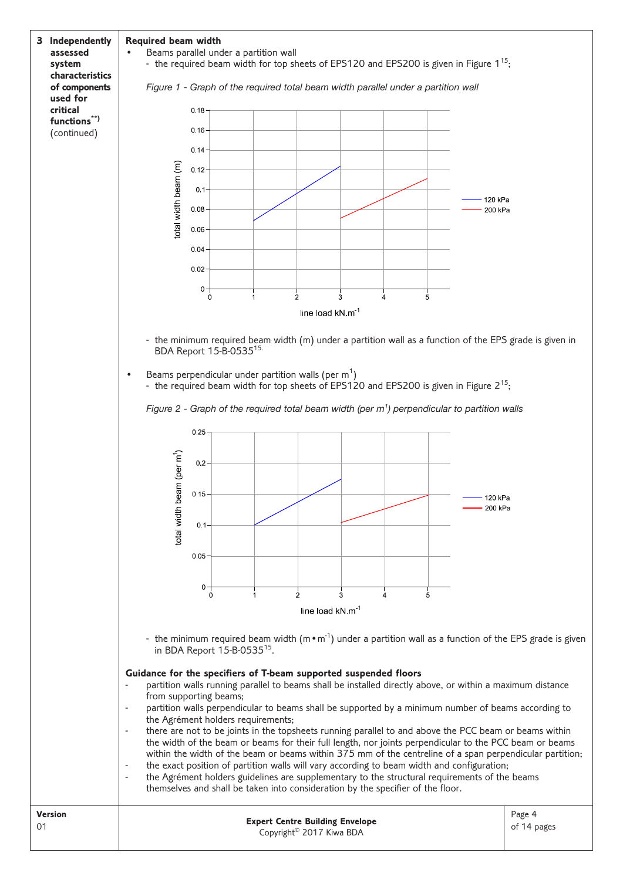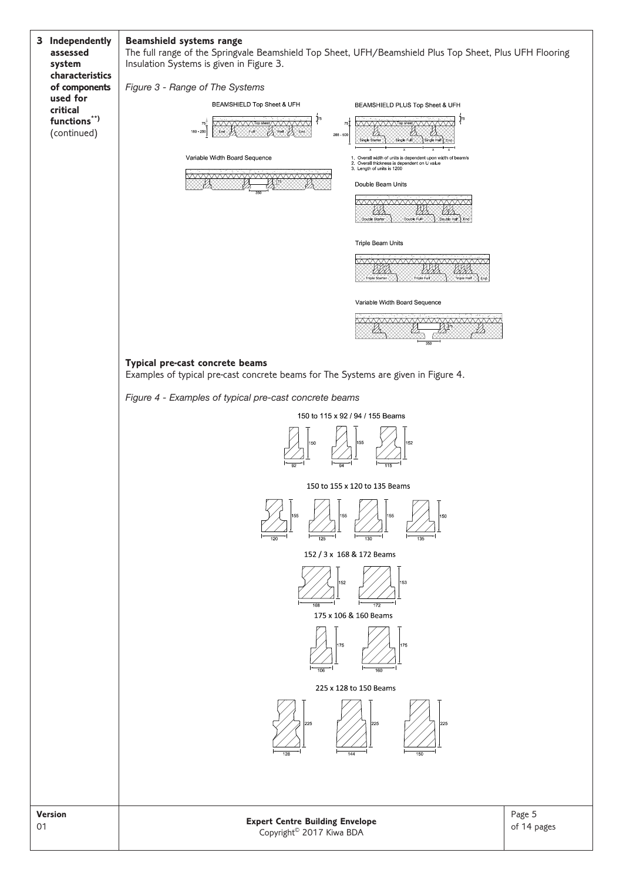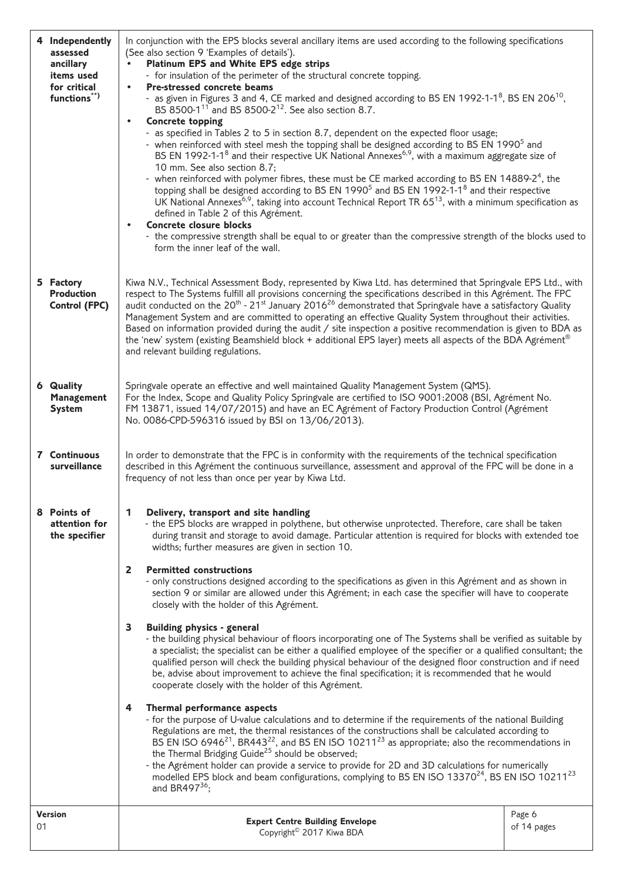|    | 4 Independently<br>assessed<br>ancillary<br>items used<br>for critical<br>functions**) | In conjunction with the EPS blocks several ancillary items are used according to the following specifications<br>(See also section 9 'Examples of details').<br>Platinum EPS and White EPS edge strips<br>- for insulation of the perimeter of the structural concrete topping.<br><b>Pre-stressed concrete beams</b><br>$\bullet$<br>- as given in Figures 3 and 4, CE marked and designed according to BS EN 1992-1-1 <sup>8</sup> , BS EN 206 <sup>10</sup> ,<br>BS 8500-1 <sup>11</sup> and BS 8500-2 <sup>12</sup> . See also section 8.7.<br><b>Concrete topping</b><br>$\bullet$<br>- as specified in Tables 2 to 5 in section 8.7, dependent on the expected floor usage;<br>- when reinforced with steel mesh the topping shall be designed according to BS EN 1990 <sup>5</sup> and<br>BS EN 1992-1-1 <sup>8</sup> and their respective UK National Annexes <sup>6,9</sup> , with a maximum aggregate size of<br>10 mm. See also section 8.7;<br>- when reinforced with polymer fibres, these must be CE marked according to BS EN 14889-2 <sup>4</sup> , the<br>topping shall be designed according to BS EN 1990 <sup>5</sup> and BS EN 1992-1-1 <sup>8</sup> and their respective<br>UK National Annexes <sup>6,9</sup> , taking into account Technical Report TR 65 <sup>13</sup> , with a minimum specification as<br>defined in Table 2 of this Agrément.<br><b>Concrete closure blocks</b><br>$\bullet$<br>- the compressive strength shall be equal to or greater than the compressive strength of the blocks used to<br>form the inner leaf of the wall.                                                                                                                                                                                                                                                                                                                      |                       |  |  |
|----|----------------------------------------------------------------------------------------|--------------------------------------------------------------------------------------------------------------------------------------------------------------------------------------------------------------------------------------------------------------------------------------------------------------------------------------------------------------------------------------------------------------------------------------------------------------------------------------------------------------------------------------------------------------------------------------------------------------------------------------------------------------------------------------------------------------------------------------------------------------------------------------------------------------------------------------------------------------------------------------------------------------------------------------------------------------------------------------------------------------------------------------------------------------------------------------------------------------------------------------------------------------------------------------------------------------------------------------------------------------------------------------------------------------------------------------------------------------------------------------------------------------------------------------------------------------------------------------------------------------------------------------------------------------------------------------------------------------------------------------------------------------------------------------------------------------------------------------------------------------------------------------------------------------------------------------------------------------------------------------------------|-----------------------|--|--|
|    | 5 Factory<br><b>Production</b><br><b>Control (FPC)</b>                                 | Kiwa N.V., Technical Assessment Body, represented by Kiwa Ltd. has determined that Springvale EPS Ltd., with<br>respect to The Systems fulfill all provisions concerning the specifications described in this Agrément. The FPC<br>audit conducted on the 20 <sup>th</sup> - 21 <sup>st</sup> January 2016 <sup>26</sup> demonstrated that Springvale have a satisfactory Quality<br>Management System and are committed to operating an effective Quality System throughout their activities.<br>Based on information provided during the audit / site inspection a positive recommendation is given to BDA as<br>the 'new' system (existing Beamshield block + additional EPS layer) meets all aspects of the BDA Agrément®<br>and relevant building regulations.                                                                                                                                                                                                                                                                                                                                                                                                                                                                                                                                                                                                                                                                                                                                                                                                                                                                                                                                                                                                                                                                                                                              |                       |  |  |
|    | <b>6 Quality</b><br><b>Management</b><br><b>System</b>                                 | Springvale operate an effective and well maintained Quality Management System (QMS).<br>For the Index, Scope and Quality Policy Springvale are certified to ISO 9001:2008 (BSI, Agrément No.<br>FM 13871, issued 14/07/2015) and have an EC Agrément of Factory Production Control (Agrément<br>No. 0086-CPD-596316 issued by BSI on 13/06/2013).                                                                                                                                                                                                                                                                                                                                                                                                                                                                                                                                                                                                                                                                                                                                                                                                                                                                                                                                                                                                                                                                                                                                                                                                                                                                                                                                                                                                                                                                                                                                                |                       |  |  |
|    | 7 Continuous<br>surveillance                                                           | In order to demonstrate that the FPC is in conformity with the requirements of the technical specification<br>described in this Agrément the continuous surveillance, assessment and approval of the FPC will be done in a<br>frequency of not less than once per year by Kiwa Ltd.                                                                                                                                                                                                                                                                                                                                                                                                                                                                                                                                                                                                                                                                                                                                                                                                                                                                                                                                                                                                                                                                                                                                                                                                                                                                                                                                                                                                                                                                                                                                                                                                              |                       |  |  |
|    | 8 Points of<br>attention for<br>the specifier                                          | 1<br>Delivery, transport and site handling<br>- the EPS blocks are wrapped in polythene, but otherwise unprotected. Therefore, care shall be taken<br>during transit and storage to avoid damage. Particular attention is required for blocks with extended toe<br>widths; further measures are given in section 10.<br><b>Permitted constructions</b><br>2<br>- only constructions designed according to the specifications as given in this Agrément and as shown in<br>section 9 or similar are allowed under this Agrément; in each case the specifier will have to cooperate<br>closely with the holder of this Agrément.<br>3<br><b>Building physics - general</b><br>- the building physical behaviour of floors incorporating one of The Systems shall be verified as suitable by<br>a specialist; the specialist can be either a qualified employee of the specifier or a qualified consultant; the<br>qualified person will check the building physical behaviour of the designed floor construction and if need<br>be, advise about improvement to achieve the final specification; it is recommended that he would<br>cooperate closely with the holder of this Agrément.<br>Thermal performance aspects<br>4<br>- for the purpose of U-value calculations and to determine if the requirements of the national Building<br>Regulations are met, the thermal resistances of the constructions shall be calculated according to<br>BS EN ISO 6946 <sup>21</sup> , BR443 <sup>22</sup> , and BS EN ISO 10211 <sup>23</sup> as appropriate; also the recommendations in the Thermal Bridging Guide <sup>25</sup> should be observed;<br>- the Agrément holder can provide a service to provide for 2D and 3D calculations for numerically<br>modelled EPS block and beam configurations, complying to BS EN ISO 13370 <sup>24</sup> , BS EN ISO 10211 <sup>23</sup><br>and BR497 $36$ ; |                       |  |  |
| 01 | <b>Version</b>                                                                         | <b>Expert Centre Building Envelope</b><br>Copyright <sup>©</sup> 2017 Kiwa BDA                                                                                                                                                                                                                                                                                                                                                                                                                                                                                                                                                                                                                                                                                                                                                                                                                                                                                                                                                                                                                                                                                                                                                                                                                                                                                                                                                                                                                                                                                                                                                                                                                                                                                                                                                                                                                   | Page 6<br>of 14 pages |  |  |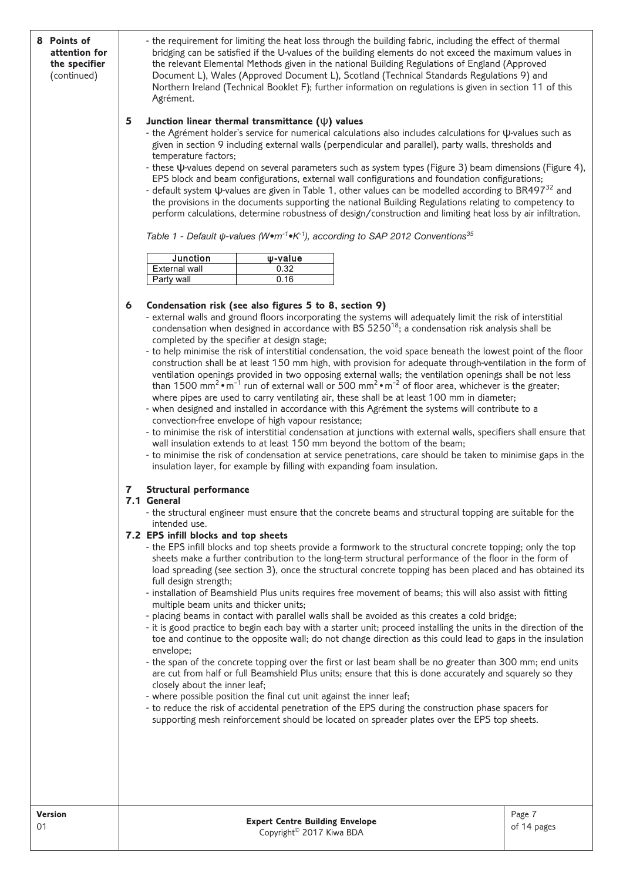| 8 Points of<br>attention for<br>the specifier<br>(continued) | - the requirement for limiting the heat loss through the building fabric, including the effect of thermal<br>bridging can be satisfied if the U-values of the building elements do not exceed the maximum values in<br>the relevant Elemental Methods given in the national Building Regulations of England (Approved<br>Document L), Wales (Approved Document L), Scotland (Technical Standards Regulations 9) and<br>Northern Ireland (Technical Booklet F); further information on regulations is given in section 11 of this<br>Agrément.<br>5<br>Junction linear thermal transmittance $(\psi)$ values<br>- the Agrément holder's service for numerical calculations also includes calculations for $\psi$ -values such as<br>given in section 9 including external walls (perpendicular and parallel), party walls, thresholds and<br>temperature factors;<br>- these $\psi$ -values depend on several parameters such as system types (Figure 3) beam dimensions (Figure 4),<br>EPS block and beam configurations, external wall configurations and foundation configurations;<br>- default system $\psi$ -values are given in Table 1, other values can be modelled according to BR497 <sup>32</sup> and<br>the provisions in the documents supporting the national Building Regulations relating to competency to<br>perform calculations, determine robustness of design/construction and limiting heat loss by air infiltration.<br>Table 1 - Default $\psi$ -values (W•m <sup>-1</sup> •K <sup>-1</sup> ), according to SAP 2012 Conventions <sup>35</sup> |                                                                                                                                                                                                                                      |                                                                                                                                                                                                                                                                                                                                                                                                                                                                                                                                                                                                                                                                                                                                                                                                                                                                                                                                                                                                                                                                                                                                                                                                                                                                                                                                                                                                                                                                                                                                                                                                                                                                                                                                                                                                                                                                                                                                                                                                                                                                                                                                                                                                                                                                                                                                                                                                                                                                                                                                                                                                                                                                          |                       |
|--------------------------------------------------------------|------------------------------------------------------------------------------------------------------------------------------------------------------------------------------------------------------------------------------------------------------------------------------------------------------------------------------------------------------------------------------------------------------------------------------------------------------------------------------------------------------------------------------------------------------------------------------------------------------------------------------------------------------------------------------------------------------------------------------------------------------------------------------------------------------------------------------------------------------------------------------------------------------------------------------------------------------------------------------------------------------------------------------------------------------------------------------------------------------------------------------------------------------------------------------------------------------------------------------------------------------------------------------------------------------------------------------------------------------------------------------------------------------------------------------------------------------------------------------------------------------------------------------------------------------------------------|--------------------------------------------------------------------------------------------------------------------------------------------------------------------------------------------------------------------------------------|--------------------------------------------------------------------------------------------------------------------------------------------------------------------------------------------------------------------------------------------------------------------------------------------------------------------------------------------------------------------------------------------------------------------------------------------------------------------------------------------------------------------------------------------------------------------------------------------------------------------------------------------------------------------------------------------------------------------------------------------------------------------------------------------------------------------------------------------------------------------------------------------------------------------------------------------------------------------------------------------------------------------------------------------------------------------------------------------------------------------------------------------------------------------------------------------------------------------------------------------------------------------------------------------------------------------------------------------------------------------------------------------------------------------------------------------------------------------------------------------------------------------------------------------------------------------------------------------------------------------------------------------------------------------------------------------------------------------------------------------------------------------------------------------------------------------------------------------------------------------------------------------------------------------------------------------------------------------------------------------------------------------------------------------------------------------------------------------------------------------------------------------------------------------------------------------------------------------------------------------------------------------------------------------------------------------------------------------------------------------------------------------------------------------------------------------------------------------------------------------------------------------------------------------------------------------------------------------------------------------------------------------------------------------------|-----------------------|
|                                                              | <b>Junction</b>                                                                                                                                                                                                                                                                                                                                                                                                                                                                                                                                                                                                                                                                                                                                                                                                                                                                                                                                                                                                                                                                                                                                                                                                                                                                                                                                                                                                                                                                                                                                                        | w-value                                                                                                                                                                                                                              |                                                                                                                                                                                                                                                                                                                                                                                                                                                                                                                                                                                                                                                                                                                                                                                                                                                                                                                                                                                                                                                                                                                                                                                                                                                                                                                                                                                                                                                                                                                                                                                                                                                                                                                                                                                                                                                                                                                                                                                                                                                                                                                                                                                                                                                                                                                                                                                                                                                                                                                                                                                                                                                                          |                       |
|                                                              | <b>External wall</b>                                                                                                                                                                                                                                                                                                                                                                                                                                                                                                                                                                                                                                                                                                                                                                                                                                                                                                                                                                                                                                                                                                                                                                                                                                                                                                                                                                                                                                                                                                                                                   | 0.32                                                                                                                                                                                                                                 |                                                                                                                                                                                                                                                                                                                                                                                                                                                                                                                                                                                                                                                                                                                                                                                                                                                                                                                                                                                                                                                                                                                                                                                                                                                                                                                                                                                                                                                                                                                                                                                                                                                                                                                                                                                                                                                                                                                                                                                                                                                                                                                                                                                                                                                                                                                                                                                                                                                                                                                                                                                                                                                                          |                       |
|                                                              | Party wall                                                                                                                                                                                                                                                                                                                                                                                                                                                                                                                                                                                                                                                                                                                                                                                                                                                                                                                                                                                                                                                                                                                                                                                                                                                                                                                                                                                                                                                                                                                                                             | 0.16                                                                                                                                                                                                                                 |                                                                                                                                                                                                                                                                                                                                                                                                                                                                                                                                                                                                                                                                                                                                                                                                                                                                                                                                                                                                                                                                                                                                                                                                                                                                                                                                                                                                                                                                                                                                                                                                                                                                                                                                                                                                                                                                                                                                                                                                                                                                                                                                                                                                                                                                                                                                                                                                                                                                                                                                                                                                                                                                          |                       |
|                                                              | 6<br><b>Structural performance</b><br>7<br>7.1 General<br>intended use.<br>7.2 EPS infill blocks and top sheets<br>full design strength;<br>multiple beam units and thicker units;<br>envelope;<br>closely about the inner leaf;                                                                                                                                                                                                                                                                                                                                                                                                                                                                                                                                                                                                                                                                                                                                                                                                                                                                                                                                                                                                                                                                                                                                                                                                                                                                                                                                       | Condensation risk (see also figures 5 to 8, section 9)<br>completed by the specifier at design stage;<br>convection-free envelope of high vapour resistance;<br>- where possible position the final cut unit against the inner leaf; | - external walls and ground floors incorporating the systems will adequately limit the risk of interstitial<br>condensation when designed in accordance with BS $5250^{18}$ ; a condensation risk analysis shall be<br>- to help minimise the risk of interstitial condensation, the void space beneath the lowest point of the floor<br>construction shall be at least 150 mm high, with provision for adequate through-ventilation in the form of<br>ventilation openings provided in two opposing external walls; the ventilation openings shall be not less<br>than 1500 mm <sup>2</sup> $\cdot$ m <sup>-1</sup> run of external wall or 500 mm <sup>2</sup> $\cdot$ m <sup>-2</sup> of floor area, whichever is the greater;<br>where pipes are used to carry ventilating air, these shall be at least 100 mm in diameter;<br>- when designed and installed in accordance with this Agrément the systems will contribute to a<br>- to minimise the risk of interstitial condensation at junctions with external walls, specifiers shall ensure that<br>wall insulation extends to at least 150 mm beyond the bottom of the beam;<br>- to minimise the risk of condensation at service penetrations, care should be taken to minimise gaps in the<br>insulation layer, for example by filling with expanding foam insulation.<br>- the structural engineer must ensure that the concrete beams and structural topping are suitable for the<br>- the EPS infill blocks and top sheets provide a formwork to the structural concrete topping; only the top<br>sheets make a further contribution to the long-term structural performance of the floor in the form of<br>load spreading (see section 3), once the structural concrete topping has been placed and has obtained its<br>- installation of Beamshield Plus units requires free movement of beams; this will also assist with fitting<br>- placing beams in contact with parallel walls shall be avoided as this creates a cold bridge;<br>- it is good practice to begin each bay with a starter unit; proceed installing the units in the direction of the<br>toe and continue to the opposite wall; do not change direction as this could lead to gaps in the insulation<br>- the span of the concrete topping over the first or last beam shall be no greater than 300 mm; end units<br>are cut from half or full Beamshield Plus units; ensure that this is done accurately and squarely so they<br>- to reduce the risk of accidental penetration of the EPS during the construction phase spacers for<br>supporting mesh reinforcement should be located on spreader plates over the EPS top sheets. |                       |
|                                                              |                                                                                                                                                                                                                                                                                                                                                                                                                                                                                                                                                                                                                                                                                                                                                                                                                                                                                                                                                                                                                                                                                                                                                                                                                                                                                                                                                                                                                                                                                                                                                                        |                                                                                                                                                                                                                                      |                                                                                                                                                                                                                                                                                                                                                                                                                                                                                                                                                                                                                                                                                                                                                                                                                                                                                                                                                                                                                                                                                                                                                                                                                                                                                                                                                                                                                                                                                                                                                                                                                                                                                                                                                                                                                                                                                                                                                                                                                                                                                                                                                                                                                                                                                                                                                                                                                                                                                                                                                                                                                                                                          |                       |
| <b>Version</b><br>01                                         |                                                                                                                                                                                                                                                                                                                                                                                                                                                                                                                                                                                                                                                                                                                                                                                                                                                                                                                                                                                                                                                                                                                                                                                                                                                                                                                                                                                                                                                                                                                                                                        | <b>Expert Centre Building Envelope</b><br>Copyright <sup>©</sup> 2017 Kiwa BDA                                                                                                                                                       |                                                                                                                                                                                                                                                                                                                                                                                                                                                                                                                                                                                                                                                                                                                                                                                                                                                                                                                                                                                                                                                                                                                                                                                                                                                                                                                                                                                                                                                                                                                                                                                                                                                                                                                                                                                                                                                                                                                                                                                                                                                                                                                                                                                                                                                                                                                                                                                                                                                                                                                                                                                                                                                                          | Page 7<br>of 14 pages |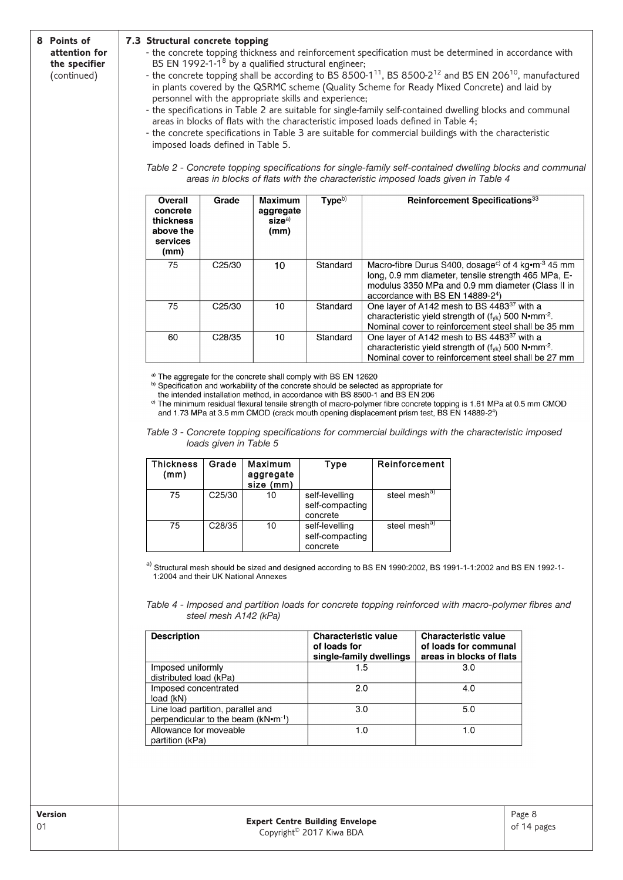#### **8 Points of attention for the specifier** (continued)

### **7.3 Structural concrete topping**

- the concrete topping thickness and reinforcement specification must be determined in accordance with BS EN 1992-1-18 by a qualified structural engineer;
- the concrete topping shall be according to BS  $8500-1^{11}$ , BS  $8500-2^{12}$  and BS EN 206<sup>10</sup>, manufactured in plants covered by the QSRMC scheme (Quality Scheme for Ready Mixed Concrete) and laid by personnel with the appropriate skills and experience;
- the specifications in Table 2 are suitable for single-family self-contained dwelling blocks and communal areas in blocks of flats with the characteristic imposed loads defined in Table 4;
- the concrete specifications in Table 3 are suitable for commercial buildings with the characteristic imposed loads defined in Table 5.

*Table 2 - Concrete topping specifications for single-family self-contained dwelling blocks and communal* Table 4 *areas in blocks of flats with the characteristic imposed loads given in Table 4*

| Overall<br>concrete<br>thickness<br>above the<br>services<br>(mm) | Grade               | Maximum<br>aggregate<br>$size^{a)}$<br>(mm) | $T$ <sub>V</sub> $pe^{b}$ | <b>Reinforcement Specifications</b> <sup>33</sup>                                                                                                                                                                                              |
|-------------------------------------------------------------------|---------------------|---------------------------------------------|---------------------------|------------------------------------------------------------------------------------------------------------------------------------------------------------------------------------------------------------------------------------------------|
| 75                                                                | C <sub>25</sub> /30 | 10                                          | Standard                  | Macro-fibre Durus S400, dosage <sup>c)</sup> of 4 kg $\cdot$ m <sup>-3</sup> 45 mm<br>long, 0.9 mm diameter, tensile strength 465 MPa, E-<br>modulus 3350 MPa and 0.9 mm diameter (Class II in<br>accordance with BS EN 14889-2 <sup>4</sup> ) |
| 75                                                                | C <sub>25</sub> /30 | 10                                          | Standard                  | One layer of A142 mesh to BS 4483 <sup>37</sup> with a<br>characteristic yield strength of (fyk) 500 N•mm <sup>-2</sup> .<br>Nominal cover to reinforcement steel shall be 35 mm                                                               |
| 60                                                                | C <sub>28</sub> /35 | 10                                          | Standard                  | One layer of A142 mesh to BS 4483 <sup>37</sup> with a<br>characteristic yield strength of $(f_{yk})$ 500 N•mm <sup>-2</sup> .<br>Nominal cover to reinforcement steel shall be 27 mm                                                          |

a) The aggregate for the concrete shall comply with BS EN 12620<br>b) Specification and workability of the concrete should be selected as appropriate for

the intended installation method, in accordance with BS 8500-1 and BS EN 206<br><sup>c)</sup> The minimum residual flexural tensile strength of macro-polymer fibre concrete topping is 1.61 MPa at 0.5 mm CMOD and 1.73 MPa at 3.5 mm CMOD (crack mouth opening displacement prism test, BS EN 14889-2<sup>4</sup>)

*Table 3 - Concrete topping specifications for commercial buildings with the characteristic imposed loads given in Table 5* 

| <b>Thickness</b><br>(mm) | Grade               | Maximum<br>aggregate<br>size (mm) | Type                                          | Reinforcement            |
|--------------------------|---------------------|-----------------------------------|-----------------------------------------------|--------------------------|
| 75                       | C <sub>25</sub> /30 | 10                                | self-levelling<br>self-compacting<br>concrete | steel mesh <sup>a)</sup> |
| 75                       | C28/35              | 10                                | self-levelling<br>self-compacting<br>concrete | steel mesh <sup>a)</sup> |

a) Structural mesh should be sized and designed according to BS EN 1990:2002, BS 1991-1-1:2002 and BS EN 1992-1-1:2004 and their UK National Annexes

*Table 4 - Imposed and partition loads for concrete topping reinforced with macro-polymer fibres and steel mesh A142 (kPa)*

| <b>Description</b>                              | <b>Characteristic value</b><br>of loads for<br>single-family dwellings | <b>Characteristic value</b><br>of loads for communal<br>areas in blocks of flats |
|-------------------------------------------------|------------------------------------------------------------------------|----------------------------------------------------------------------------------|
| Imposed uniformly                               | 1.5                                                                    | 3.0                                                                              |
| distributed load (kPa)                          |                                                                        |                                                                                  |
| Imposed concentrated                            | 2.0                                                                    | 4.0                                                                              |
| load (kN)                                       |                                                                        |                                                                                  |
| Line load partition, parallel and               | 3.0                                                                    | 5.0                                                                              |
| perpendicular to the beam (kN•m <sup>-1</sup> ) |                                                                        |                                                                                  |
| Allowance for moveable                          | 1.0                                                                    | 1.0                                                                              |
| partition (kPa)                                 |                                                                        |                                                                                  |